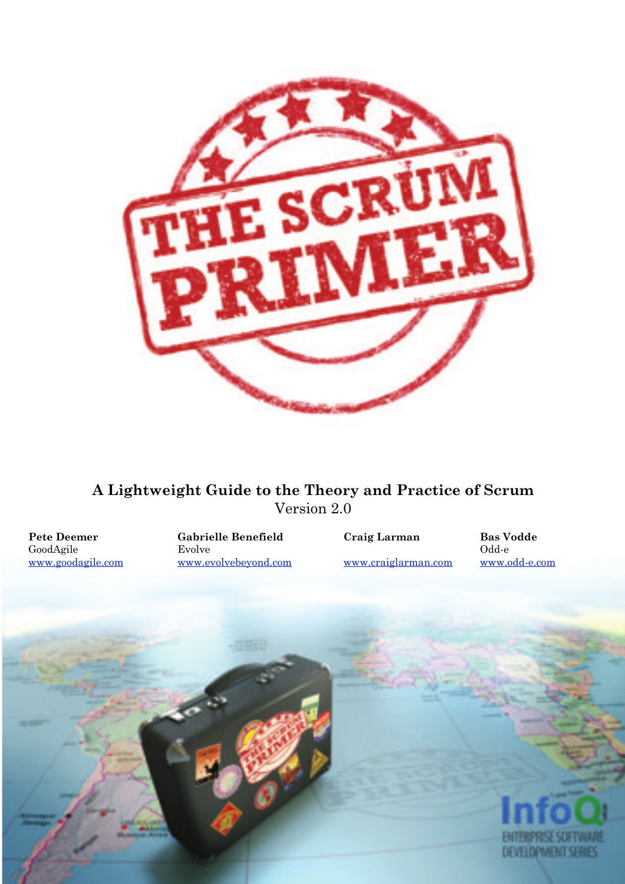

### **A Lightweight Guide to the Theory and Practice of Scrum** Version 2.0

**Pete Deemer** GoodAgile [www.goodagile.com](http://www.goodagile.com) **Gabrielle Benefield** Evolve [www.evolvebeyond.com](http://www.evolvebeyond.com) **Craig Larman** [www.craiglarman.com](http://www.craiglarman.com) **Bas Vodde** Odd-e [www.odd-e.com](http://www.odd-e.com)



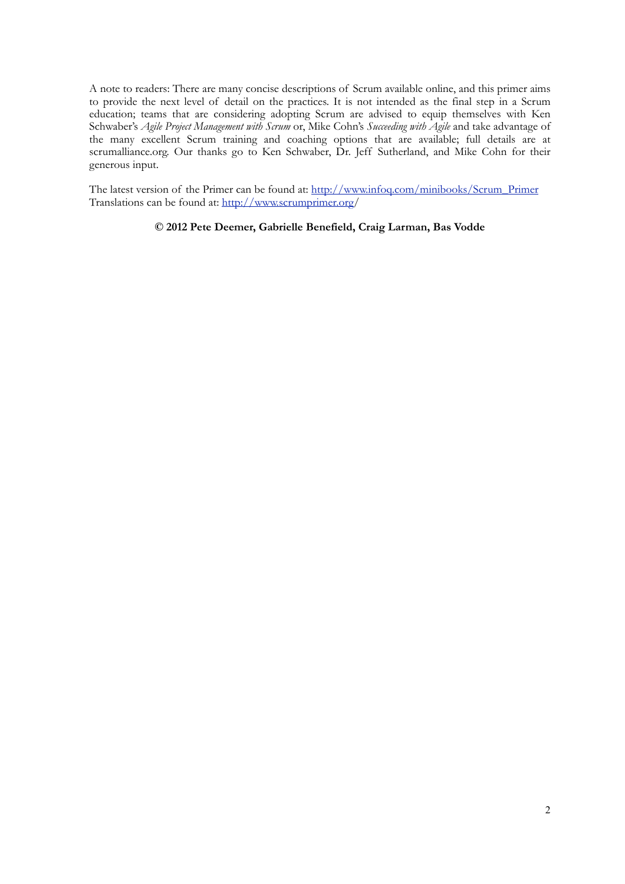A note to readers: There are many concise descriptions of Scrum available online, and this primer aims to provide the next level of detail on the practices. It is not intended as the final step in a Scrum education; teams that are considering adopting Scrum are advised to equip themselves with Ken Schwaber's *Agile Project Management with Scrum* or, Mike Cohn's *Succeeding with Agile* and take advantage of the many excellent Scrum training and coaching options that are available; full details are at scrumalliance.org. Our thanks go to Ken Schwaber, Dr. Jeff Sutherland, and Mike Cohn for their generous input.

The latest version of the Primer can be found at: [http://www.infoq.com/minibooks/Scrum\\_Primer](http://www.infoq.com/minibooks/Scrum_Primer) Translations can be found at: [http://www.scrumprimer.org/](http://www.scrumprimer.org)

**© 2012 Pete Deemer, Gabrielle Benefield, Craig Larman, Bas Vodde**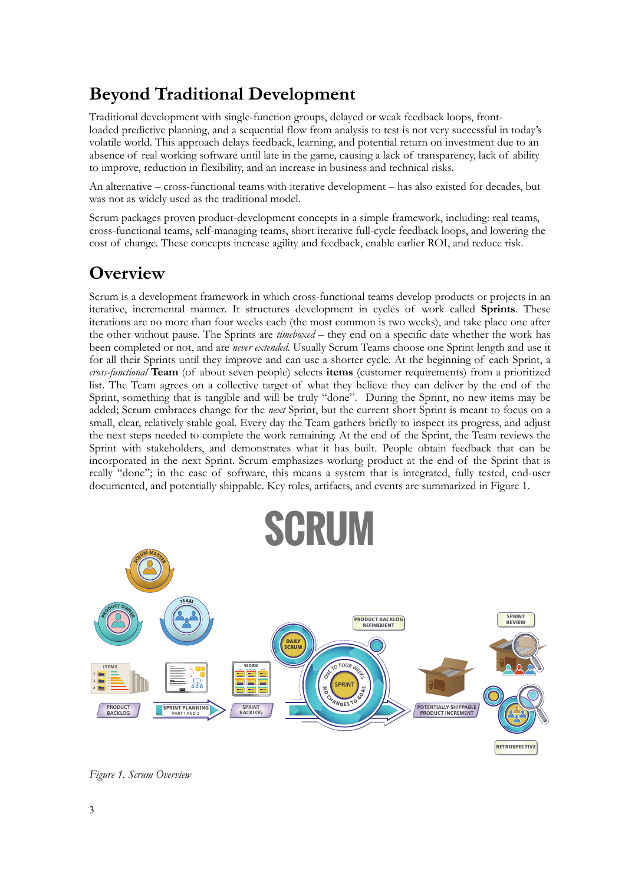# **Beyond Traditional Development**

Traditional development with single-function groups, delayed or weak feedback loops, frontloaded predictive planning, and a sequential flow from analysis to test is not very successful in today's volatile world. This approach delays feedback, learning, and potential return on investment due to an absence of real working software until late in the game, causing a lack of transparency, lack of ability to improve, reduction in flexibility, and an increase in business and technical risks.

An alternative – cross-functional teams with iterative development – has also existed for decades, but was not as widely used as the traditional model.

Scrum packages proven product-development concepts in a simple framework, including: real teams, cross-functional teams, self-managing teams, short iterative full-cycle feedback loops, and lowering the cost of change. These concepts increase agility and feedback, enable earlier ROI, and reduce risk.

## **Overview**

Scrum is a development framework in which cross-functional teams develop products or projects in an iterative, incremental manner. It structures development in cycles of work called **Sprints**. These iterations are no more than four weeks each (the most common is two weeks), and take place one after the other without pause. The Sprints are *timeboxed* – they end on a specific date whether the work has been completed or not, and are *never extended*. Usually Scrum Teams choose one Sprint length and use it for all their Sprints until they improve and can use a shorter cycle. At the beginning of each Sprint, a *cross-functional* **Team** (of about seven people) selects **items** (customer requirements) from a prioritized list. The Team agrees on a collective target of what they believe they can deliver by the end of the Sprint, something that is tangible and will be truly "done". During the Sprint, no new items may be added; Scrum embraces change for the *next* Sprint, but the current short Sprint is meant to focus on a small, clear, relatively stable goal. Every day the Team gathers briefly to inspect its progress, and adjust the next steps needed to complete the work remaining. At the end of the Sprint, the Team reviews the Sprint with stakeholders, and demonstrates what it has built. People obtain feedback that can be incorporated in the next Sprint. Scrum emphasizes working product at the end of the Sprint that is really "done"; in the case of software, this means a system that is integrated, fully tested, end-user documented, and potentially shippable. Key roles, artifacts, and events are summarized in [Figure 1](#page-2-0).



<span id="page-2-0"></span>*Figure 1. Scrum Overview*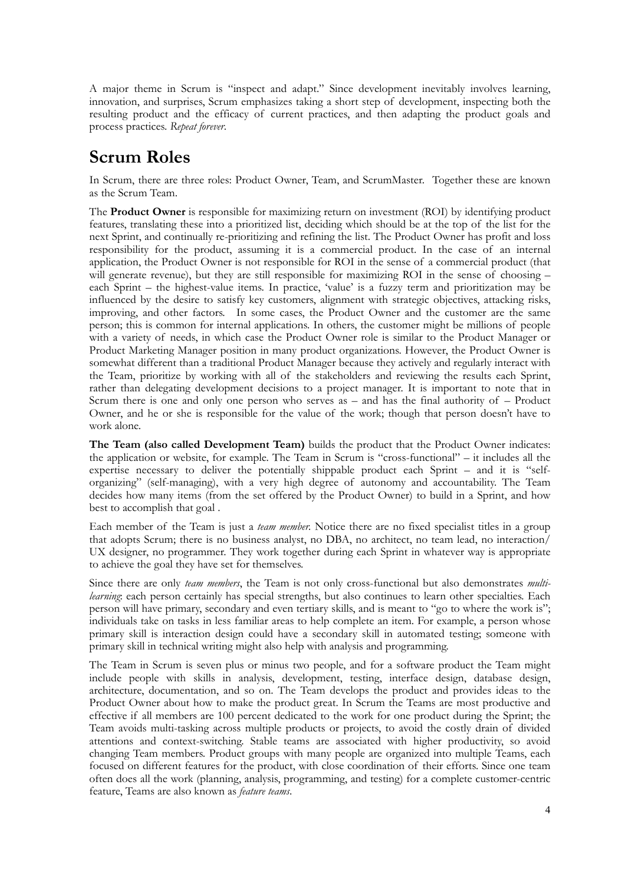A major theme in Scrum is "inspect and adapt." Since development inevitably involves learning, innovation, and surprises, Scrum emphasizes taking a short step of development, inspecting both the resulting product and the efficacy of current practices, and then adapting the product goals and process practices. *Repeat forever*.

### **Scrum Roles**

In Scrum, there are three roles: Product Owner, Team, and ScrumMaster. Together these are known as the Scrum Team.

The **Product Owner** is responsible for maximizing return on investment (ROI) by identifying product features, translating these into a prioritized list, deciding which should be at the top of the list for the next Sprint, and continually re-prioritizing and refining the list. The Product Owner has profit and loss responsibility for the product, assuming it is a commercial product. In the case of an internal application, the Product Owner is not responsible for ROI in the sense of a commercial product (that will generate revenue), but they are still responsible for maximizing ROI in the sense of choosing – each Sprint – the highest-value items. In practice, 'value' is a fuzzy term and prioritization may be influenced by the desire to satisfy key customers, alignment with strategic objectives, attacking risks, improving, and other factors. In some cases, the Product Owner and the customer are the same person; this is common for internal applications. In others, the customer might be millions of people with a variety of needs, in which case the Product Owner role is similar to the Product Manager or Product Marketing Manager position in many product organizations. However, the Product Owner is somewhat different than a traditional Product Manager because they actively and regularly interact with the Team, prioritize by working with all of the stakeholders and reviewing the results each Sprint, rather than delegating development decisions to a project manager. It is important to note that in Scrum there is one and only one person who serves as – and has the final authority of – Product Owner, and he or she is responsible for the value of the work; though that person doesn't have to work alone.

**The Team (also called Development Team)** builds the product that the Product Owner indicates: the application or website, for example. The Team in Scrum is "cross-functional" – it includes all the expertise necessary to deliver the potentially shippable product each Sprint – and it is "selforganizing" (self-managing), with a very high degree of autonomy and accountability. The Team decides how many items (from the set offered by the Product Owner) to build in a Sprint, and how best to accomplish that goal .

Each member of the Team is just a *team member.* Notice there are no fixed specialist titles in a group that adopts Scrum; there is no business analyst, no DBA, no architect, no team lead, no interaction/ UX designer, no programmer. They work together during each Sprint in whatever way is appropriate to achieve the goal they have set for themselves.

Since there are only *team members*, the Team is not only cross-functional but also demonstrates *multilearning*: each person certainly has special strengths, but also continues to learn other specialties. Each person will have primary, secondary and even tertiary skills, and is meant to "go to where the work is"; individuals take on tasks in less familiar areas to help complete an item. For example, a person whose primary skill is interaction design could have a secondary skill in automated testing; someone with primary skill in technical writing might also help with analysis and programming.

The Team in Scrum is seven plus or minus two people, and for a software product the Team might include people with skills in analysis, development, testing, interface design, database design, architecture, documentation, and so on. The Team develops the product and provides ideas to the Product Owner about how to make the product great. In Scrum the Teams are most productive and effective if all members are 100 percent dedicated to the work for one product during the Sprint; the Team avoids multi-tasking across multiple products or projects, to avoid the costly drain of divided attentions and context-switching. Stable teams are associated with higher productivity, so avoid changing Team members. Product groups with many people are organized into multiple Teams, each focused on different features for the product, with close coordination of their efforts. Since one team often does all the work (planning, analysis, programming, and testing) for a complete customer-centric feature, Teams are also known as *feature teams*.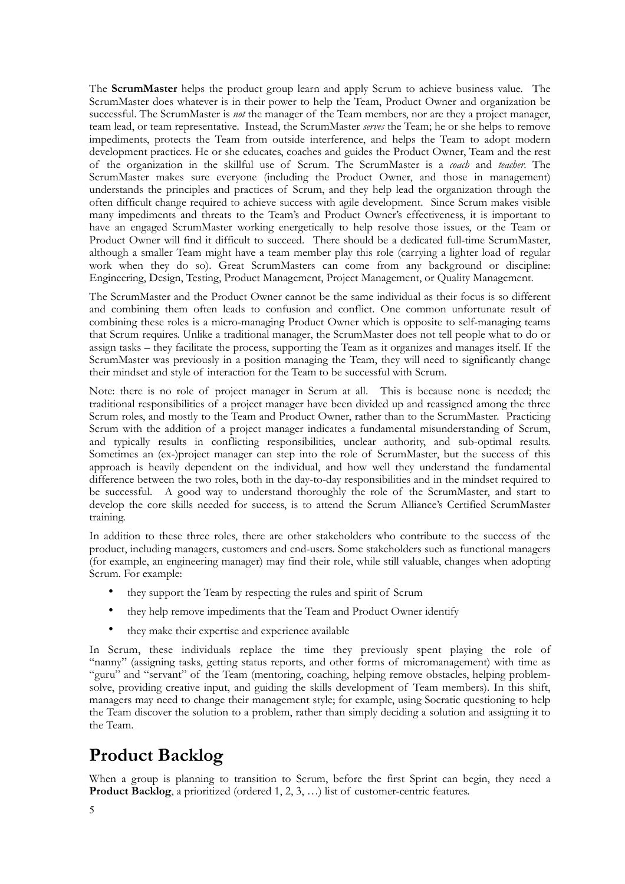The **ScrumMaster** helps the product group learn and apply Scrum to achieve business value. The ScrumMaster does whatever is in their power to help the Team, Product Owner and organization be successful. The ScrumMaster is *not* the manager of the Team members, nor are they a project manager, team lead, or team representative. Instead, the ScrumMaster *serves* the Team; he or she helps to remove impediments, protects the Team from outside interference, and helps the Team to adopt modern development practices. He or she educates, coaches and guides the Product Owner, Team and the rest of the organization in the skillful use of Scrum. The ScrumMaster is a *coach* and *teacher*. The ScrumMaster makes sure everyone (including the Product Owner, and those in management) understands the principles and practices of Scrum, and they help lead the organization through the often difficult change required to achieve success with agile development. Since Scrum makes visible many impediments and threats to the Team's and Product Owner's effectiveness, it is important to have an engaged ScrumMaster working energetically to help resolve those issues, or the Team or Product Owner will find it difficult to succeed. There should be a dedicated full-time ScrumMaster, although a smaller Team might have a team member play this role (carrying a lighter load of regular work when they do so). Great ScrumMasters can come from any background or discipline: Engineering, Design, Testing, Product Management, Project Management, or Quality Management.

The ScrumMaster and the Product Owner cannot be the same individual as their focus is so different and combining them often leads to confusion and conflict. One common unfortunate result of combining these roles is a micro-managing Product Owner which is opposite to self-managing teams that Scrum requires. Unlike a traditional manager, the ScrumMaster does not tell people what to do or assign tasks – they facilitate the process, supporting the Team as it organizes and manages itself. If the ScrumMaster was previously in a position managing the Team, they will need to significantly change their mindset and style of interaction for the Team to be successful with Scrum.

Note: there is no role of project manager in Scrum at all. This is because none is needed; the traditional responsibilities of a project manager have been divided up and reassigned among the three Scrum roles, and mostly to the Team and Product Owner, rather than to the ScrumMaster. Practicing Scrum with the addition of a project manager indicates a fundamental misunderstanding of Scrum, and typically results in conflicting responsibilities, unclear authority, and sub-optimal results. Sometimes an (ex-)project manager can step into the role of ScrumMaster, but the success of this approach is heavily dependent on the individual, and how well they understand the fundamental difference between the two roles, both in the day-to-day responsibilities and in the mindset required to be successful. A good way to understand thoroughly the role of the ScrumMaster, and start to develop the core skills needed for success, is to attend the Scrum Alliance's Certified ScrumMaster training.

In addition to these three roles, there are other stakeholders who contribute to the success of the product, including managers, customers and end-users. Some stakeholders such as functional managers (for example, an engineering manager) may find their role, while still valuable, changes when adopting Scrum. For example:

- they support the Team by respecting the rules and spirit of Scrum
- they help remove impediments that the Team and Product Owner identify
- they make their expertise and experience available

In Scrum, these individuals replace the time they previously spent playing the role of "nanny" (assigning tasks, getting status reports, and other forms of micromanagement) with time as "guru" and "servant" of the Team (mentoring, coaching, helping remove obstacles, helping problemsolve, providing creative input, and guiding the skills development of Team members). In this shift, managers may need to change their management style; for example, using Socratic questioning to help the Team discover the solution to a problem, rather than simply deciding a solution and assigning it to the Team.

### **Product Backlog**

When a group is planning to transition to Scrum, before the first Sprint can begin, they need a **Product Backlog**, a prioritized (ordered 1, 2, 3, ...) list of customer-centric features.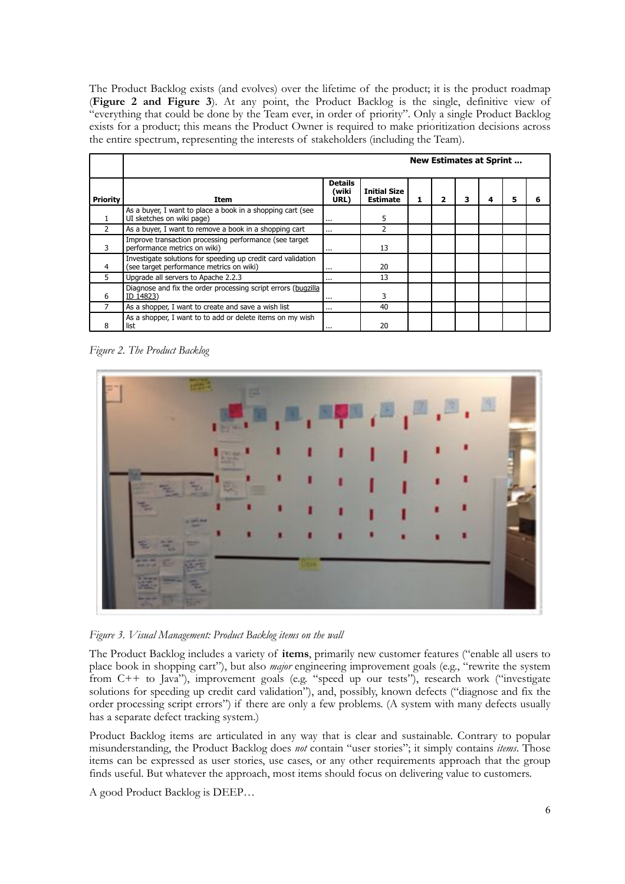The Product Backlog exists (and evolves) over the lifetime of the product; it is the product roadmap (**Figure 2 and Figure 3**). At any point, the Product Backlog is the single, definitive view of "everything that could be done by the Team ever, in order of priority". Only a single Product Backlog exists for a product; this means the Product Owner is required to make prioritization decisions across the entire spectrum, representing the interests of stakeholders (including the Team).

|                 | <b>New Estimates at Sprint</b>                                                                           |                                 |                                        |  |   |   |  |  |   |
|-----------------|----------------------------------------------------------------------------------------------------------|---------------------------------|----------------------------------------|--|---|---|--|--|---|
| <b>Priority</b> | Item                                                                                                     | <b>Details</b><br>(wiki<br>URL) | <b>Initial Size</b><br><b>Estimate</b> |  | 2 | з |  |  | 6 |
| 1               | As a buyer, I want to place a book in a shopping cart (see<br>UI sketches on wiki page)                  | $\cdots$                        | 5                                      |  |   |   |  |  |   |
| $\mathcal{P}$   | As a buyer, I want to remove a book in a shopping cart                                                   | $\cdots$                        | $\mathcal{P}$                          |  |   |   |  |  |   |
| 3               | Improve transaction processing performance (see target<br>performance metrics on wiki)                   | $\cdots$                        | 13                                     |  |   |   |  |  |   |
| 4               | Investigate solutions for speeding up credit card validation<br>(see target performance metrics on wiki) | $\cdots$                        | 20                                     |  |   |   |  |  |   |
| 5.              | Upgrade all servers to Apache 2.2.3                                                                      |                                 | 13                                     |  |   |   |  |  |   |
| 6               | Diagnose and fix the order processing script errors (bugzilla<br>ID 14823)                               |                                 | 3                                      |  |   |   |  |  |   |
| 7               | As a shopper, I want to create and save a wish list                                                      | $\cdots$                        | 40                                     |  |   |   |  |  |   |
| 8               | As a shopper, I want to to add or delete items on my wish<br>list                                        |                                 | 20                                     |  |   |   |  |  |   |

*Figure 2. The Product Backlog*



*Figure 3. Visual Management: Product Backlog items on the wall*

The Product Backlog includes a variety of **items**, primarily new customer features ("enable all users to place book in shopping cart"), but also *major* engineering improvement goals (e.g., "rewrite the system from C++ to Java"), improvement goals (e.g. "speed up our tests"), research work ("investigate solutions for speeding up credit card validation"), and, possibly, known defects ("diagnose and fix the order processing script errors") if there are only a few problems. (A system with many defects usually has a separate defect tracking system.)

Product Backlog items are articulated in any way that is clear and sustainable. Contrary to popular misunderstanding, the Product Backlog does *not* contain "user stories"; it simply contains *items*. Those items can be expressed as user stories, use cases, or any other requirements approach that the group finds useful. But whatever the approach, most items should focus on delivering value to customers.

A good Product Backlog is DEEP…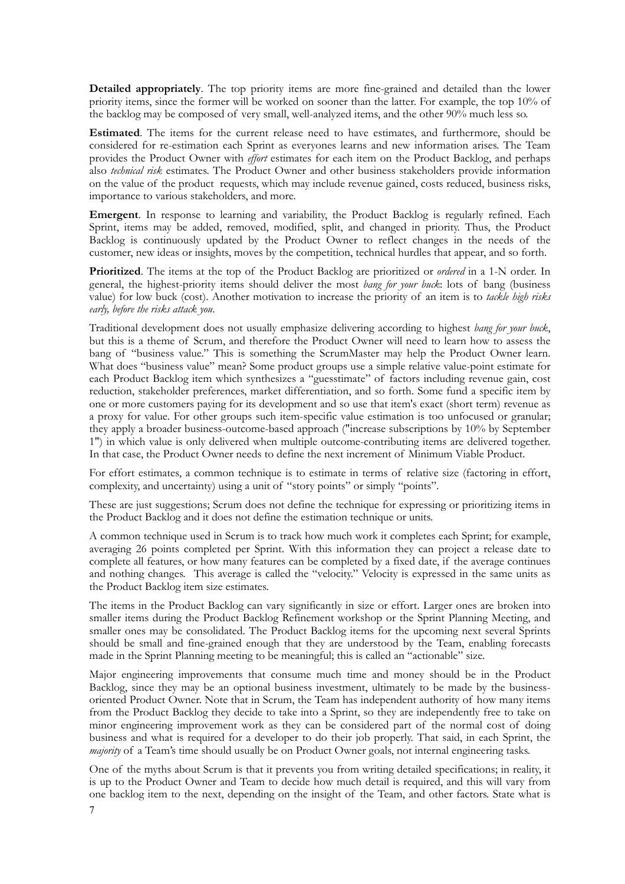**Detailed appropriately**. The top priority items are more fine-grained and detailed than the lower priority items, since the former will be worked on sooner than the latter. For example, the top 10% of the backlog may be composed of very small, well-analyzed items, and the other  $90\%$  much less so.

**Estimated**. The items for the current release need to have estimates, and furthermore, should be considered for re-estimation each Sprint as everyones learns and new information arises. The Team provides the Product Owner with *effort* estimates for each item on the Product Backlog, and perhaps also *technical risk* estimates. The Product Owner and other business stakeholders provide information on the value of the product requests, which may include revenue gained, costs reduced, business risks, importance to various stakeholders, and more.

**Emergent**. In response to learning and variability, the Product Backlog is regularly refined. Each Sprint, items may be added, removed, modified, split, and changed in priority. Thus, the Product Backlog is continuously updated by the Product Owner to reflect changes in the needs of the customer, new ideas or insights, moves by the competition, technical hurdles that appear, and so forth.

**Prioritized**. The items at the top of the Product Backlog are prioritized or *ordered* in a 1-N order. In general, the highest-priority items should deliver the most *bang for your buck*: lots of bang (business value) for low buck (cost). Another motivation to increase the priority of an item is to *tackle high risks early, before the risks attack you*.

Traditional development does not usually emphasize delivering according to highest *bang for your buck*, but this is a theme of Scrum, and therefore the Product Owner will need to learn how to assess the bang of "business value." This is something the ScrumMaster may help the Product Owner learn. What does "business value" mean? Some product groups use a simple relative value-point estimate for each Product Backlog item which synthesizes a "guesstimate" of factors including revenue gain, cost reduction, stakeholder preferences, market differentiation, and so forth. Some fund a specific item by one or more customers paying for its development and so use that item's exact (short term) revenue as a proxy for value. For other groups such item-specific value estimation is too unfocused or granular; they apply a broader business-outcome-based approach ("increase subscriptions by 10% by September 1") in which value is only delivered when multiple outcome-contributing items are delivered together. In that case, the Product Owner needs to define the next increment of Minimum Viable Product.

For effort estimates, a common technique is to estimate in terms of relative size (factoring in effort, complexity, and uncertainty) using a unit of "story points" or simply "points".

These are just suggestions; Scrum does not define the technique for expressing or prioritizing items in the Product Backlog and it does not define the estimation technique or units.

A common technique used in Scrum is to track how much work it completes each Sprint; for example, averaging 26 points completed per Sprint. With this information they can project a release date to complete all features, or how many features can be completed by a fixed date, if the average continues and nothing changes. This average is called the "velocity." Velocity is expressed in the same units as the Product Backlog item size estimates.

The items in the Product Backlog can vary significantly in size or effort. Larger ones are broken into smaller items during the Product Backlog Refinement workshop or the Sprint Planning Meeting, and smaller ones may be consolidated. The Product Backlog items for the upcoming next several Sprints should be small and fine-grained enough that they are understood by the Team, enabling forecasts made in the Sprint Planning meeting to be meaningful; this is called an "actionable" size.

Major engineering improvements that consume much time and money should be in the Product Backlog, since they may be an optional business investment, ultimately to be made by the businessoriented Product Owner. Note that in Scrum, the Team has independent authority of how many items from the Product Backlog they decide to take into a Sprint, so they are independently free to take on minor engineering improvement work as they can be considered part of the normal cost of doing business and what is required for a developer to do their job properly. That said, in each Sprint, the *majority* of a Team's time should usually be on Product Owner goals, not internal engineering tasks.

One of the myths about Scrum is that it prevents you from writing detailed specifications; in reality, it is up to the Product Owner and Team to decide how much detail is required, and this will vary from one backlog item to the next, depending on the insight of the Team, and other factors. State what is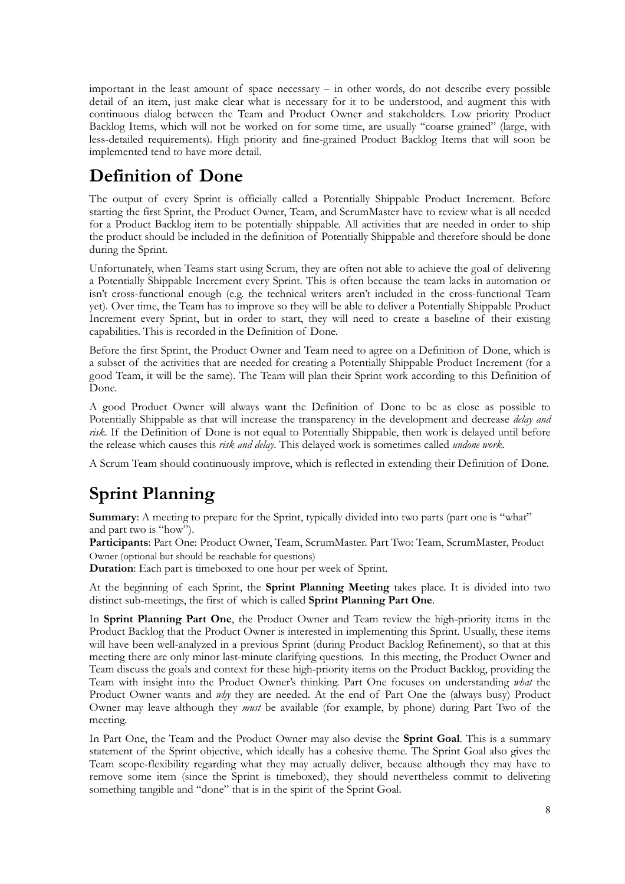important in the least amount of space necessary – in other words, do not describe every possible detail of an item, just make clear what is necessary for it to be understood, and augment this with continuous dialog between the Team and Product Owner and stakeholders. Low priority Product Backlog Items, which will not be worked on for some time, are usually "coarse grained" (large, with less-detailed requirements). High priority and fine-grained Product Backlog Items that will soon be implemented tend to have more detail.

### **Definition of Done**

The output of every Sprint is officially called a Potentially Shippable Product Increment. Before starting the first Sprint, the Product Owner, Team, and ScrumMaster have to review what is all needed for a Product Backlog item to be potentially shippable. All activities that are needed in order to ship the product should be included in the definition of Potentially Shippable and therefore should be done during the Sprint.

Unfortunately, when Teams start using Scrum, they are often not able to achieve the goal of delivering a Potentially Shippable Increment every Sprint. This is often because the team lacks in automation or isn't cross-functional enough (e.g. the technical writers aren't included in the cross-functional Team yet). Over time, the Team has to improve so they will be able to deliver a Potentially Shippable Product Increment every Sprint, but in order to start, they will need to create a baseline of their existing capabilities. This is recorded in the Definition of Done.

Before the first Sprint, the Product Owner and Team need to agree on a Definition of Done, which is a subset of the activities that are needed for creating a Potentially Shippable Product Increment (for a good Team, it will be the same). The Team will plan their Sprint work according to this Definition of Done.

A good Product Owner will always want the Definition of Done to be as close as possible to Potentially Shippable as that will increase the transparency in the development and decrease *delay and risk.* If the Definition of Done is not equal to Potentially Shippable, then work is delayed until before the release which causes this *risk and delay*. This delayed work is sometimes called *undone work*.

A Scrum Team should continuously improve, which is reflected in extending their Definition of Done.

## **Sprint Planning**

**Summary**: A meeting to prepare for the Sprint, typically divided into two parts (part one is "what" and part two is "how").

**Participants**: Part One: Product Owner, Team, ScrumMaster. Part Two: Team, ScrumMaster, Product Owner (optional but should be reachable for questions)

**Duration**: Each part is timeboxed to one hour per week of Sprint.

At the beginning of each Sprint, the **Sprint Planning Meeting** takes place. It is divided into two distinct sub-meetings, the first of which is called **Sprint Planning Part One**.

In **Sprint Planning Part One**, the Product Owner and Team review the high-priority items in the Product Backlog that the Product Owner is interested in implementing this Sprint. Usually, these items will have been well-analyzed in a previous Sprint (during Product Backlog Refinement), so that at this meeting there are only minor last-minute clarifying questions. In this meeting, the Product Owner and Team discuss the goals and context for these high-priority items on the Product Backlog, providing the Team with insight into the Product Owner's thinking. Part One focuses on understanding *what* the Product Owner wants and *why* they are needed. At the end of Part One the (always busy) Product Owner may leave although they *must* be available (for example, by phone) during Part Two of the meeting.

In Part One, the Team and the Product Owner may also devise the **Sprint Goal**. This is a summary statement of the Sprint objective, which ideally has a cohesive theme. The Sprint Goal also gives the Team scope-flexibility regarding what they may actually deliver, because although they may have to remove some item (since the Sprint is timeboxed), they should nevertheless commit to delivering something tangible and "done" that is in the spirit of the Sprint Goal.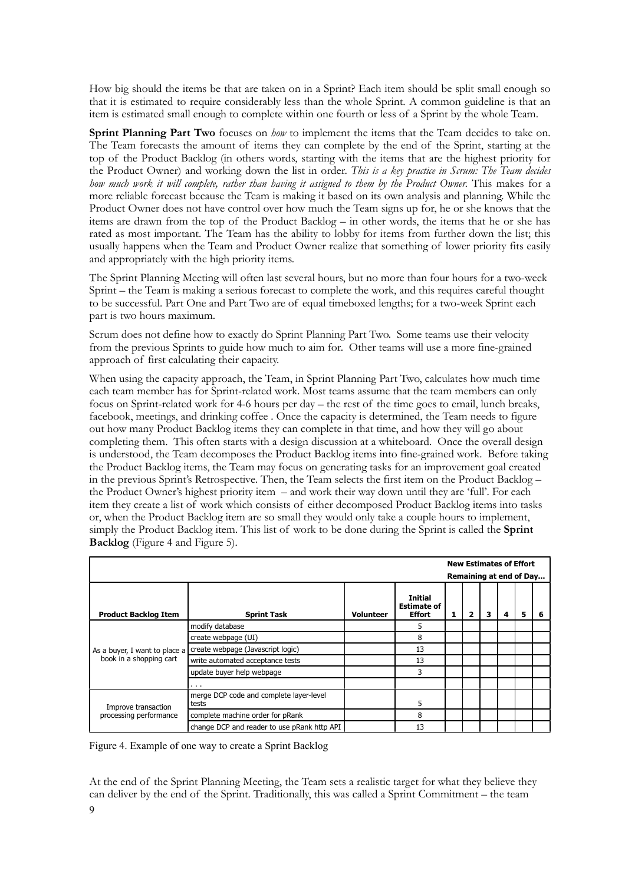How big should the items be that are taken on in a Sprint? Each item should be split small enough so that it is estimated to require considerably less than the whole Sprint. A common guideline is that an item is estimated small enough to complete within one fourth or less of a Sprint by the whole Team.

**Sprint Planning Part Two** focuses on *how* to implement the items that the Team decides to take on. The Team forecasts the amount of items they can complete by the end of the Sprint, starting at the top of the Product Backlog (in others words, starting with the items that are the highest priority for the Product Owner) and working down the list in order. *This is a key practice in Scrum: The Team decides how much work it will complete, rather than having it assigned to them by the Product Owner.* This makes for a more reliable forecast because the Team is making it based on its own analysis and planning. While the Product Owner does not have control over how much the Team signs up for, he or she knows that the items are drawn from the top of the Product Backlog – in other words, the items that he or she has rated as most important. The Team has the ability to lobby for items from further down the list; this usually happens when the Team and Product Owner realize that something of lower priority fits easily and appropriately with the high priority items.

The Sprint Planning Meeting will often last several hours, but no more than four hours for a two-week Sprint – the Team is making a serious forecast to complete the work, and this requires careful thought to be successful. Part One and Part Two are of equal timeboxed lengths; for a two-week Sprint each part is two hours maximum.

Scrum does not define how to exactly do Sprint Planning Part Two. Some teams use their velocity from the previous Sprints to guide how much to aim for. Other teams will use a more fine-grained approach of first calculating their capacity.

When using the capacity approach, the Team, in Sprint Planning Part Two, calculates how much time each team member has for Sprint-related work. Most teams assume that the team members can only focus on Sprint-related work for 4-6 hours per day – the rest of the time goes to email, lunch breaks, facebook, meetings, and drinking coffee . Once the capacity is determined, the Team needs to figure out how many Product Backlog items they can complete in that time, and how they will go about completing them. This often starts with a design discussion at a whiteboard. Once the overall design is understood, the Team decomposes the Product Backlog items into fine-grained work. Before taking the Product Backlog items, the Team may focus on generating tasks for an improvement goal created in the previous Sprint's Retrospective. Then, the Team selects the first item on the Product Backlog – the Product Owner's highest priority item – and work their way down until they are 'full'. For each item they create a list of work which consists of either decomposed Product Backlog items into tasks or, when the Product Backlog item are so small they would only take a couple hours to implement, simply the Product Backlog item. This list of work to be done during the Sprint is called the **Sprint Backlog** (Figure 4 and Figure 5).

|                               |                                                  |                  |                                                       |  |                |   | <b>New Estimates of Effort</b><br>Remaining at end of Day |   |   |  |  |  |
|-------------------------------|--------------------------------------------------|------------------|-------------------------------------------------------|--|----------------|---|-----------------------------------------------------------|---|---|--|--|--|
| <b>Product Backlog Item</b>   | <b>Sprint Task</b>                               | <b>Volunteer</b> | <b>Initial</b><br><b>Estimate of</b><br><b>Effort</b> |  | $\overline{2}$ | 3 | 4                                                         | 5 | 6 |  |  |  |
|                               | modify database                                  |                  | 5                                                     |  |                |   |                                                           |   |   |  |  |  |
|                               | create webpage (UI)                              |                  | 8                                                     |  |                |   |                                                           |   |   |  |  |  |
| As a buyer, I want to place a | create webpage (Javascript logic)                |                  | 13                                                    |  |                |   |                                                           |   |   |  |  |  |
| book in a shopping cart       | write automated acceptance tests                 |                  | 13                                                    |  |                |   |                                                           |   |   |  |  |  |
|                               | update buyer help webpage                        |                  | 3                                                     |  |                |   |                                                           |   |   |  |  |  |
|                               | .                                                |                  |                                                       |  |                |   |                                                           |   |   |  |  |  |
| Improve transaction           | merge DCP code and complete layer-level<br>tests |                  | 5                                                     |  |                |   |                                                           |   |   |  |  |  |
| processing performance        | complete machine order for pRank                 |                  | 8                                                     |  |                |   |                                                           |   |   |  |  |  |
|                               | change DCP and reader to use pRank http API      |                  | 13                                                    |  |                |   |                                                           |   |   |  |  |  |

Figure 4. Example of one way to create a Sprint Backlog

At the end of the Sprint Planning Meeting, the Team sets a realistic target for what they believe they can deliver by the end of the Sprint. Traditionally, this was called a Sprint Commitment – the team 9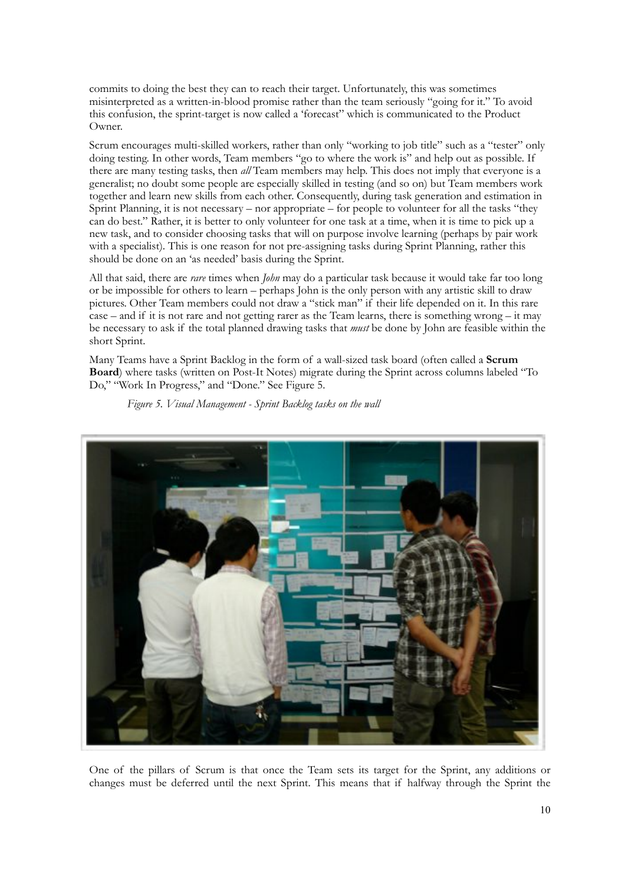commits to doing the best they can to reach their target. Unfortunately, this was sometimes misinterpreted as a written-in-blood promise rather than the team seriously "going for it." To avoid this confusion, the sprint-target is now called a 'forecast" which is communicated to the Product Owner.

Scrum encourages multi-skilled workers, rather than only "working to job title" such as a "tester" only doing testing. In other words, Team members "go to where the work is" and help out as possible. If there are many testing tasks, then *all* Team members may help. This does not imply that everyone is a generalist; no doubt some people are especially skilled in testing (and so on) but Team members work together and learn new skills from each other. Consequently, during task generation and estimation in Sprint Planning, it is not necessary – nor appropriate – for people to volunteer for all the tasks "they can do best." Rather, it is better to only volunteer for one task at a time, when it is time to pick up a new task, and to consider choosing tasks that will on purpose involve learning (perhaps by pair work with a specialist). This is one reason for not pre-assigning tasks during Sprint Planning, rather this should be done on an 'as needed' basis during the Sprint.

All that said, there are *rare* times when *John* may do a particular task because it would take far too long or be impossible for others to learn – perhaps John is the only person with any artistic skill to draw pictures. Other Team members could not draw a "stick man" if their life depended on it. In this rare case – and if it is not rare and not getting rarer as the Team learns, there is something wrong – it may be necessary to ask if the total planned drawing tasks that *must* be done by John are feasible within the short Sprint.

Many Teams have a Sprint Backlog in the form of a wall-sized task board (often called a **Scrum Board**) where tasks (written on Post-It Notes) migrate during the Sprint across columns labeled "To Do," "Work In Progress," and "Done." See [Figure 5](#page-9-0).



<span id="page-9-0"></span> *Figure 5. Visual Management - Sprint Backlog tasks on the wall*

One of the pillars of Scrum is that once the Team sets its target for the Sprint, any additions or changes must be deferred until the next Sprint. This means that if halfway through the Sprint the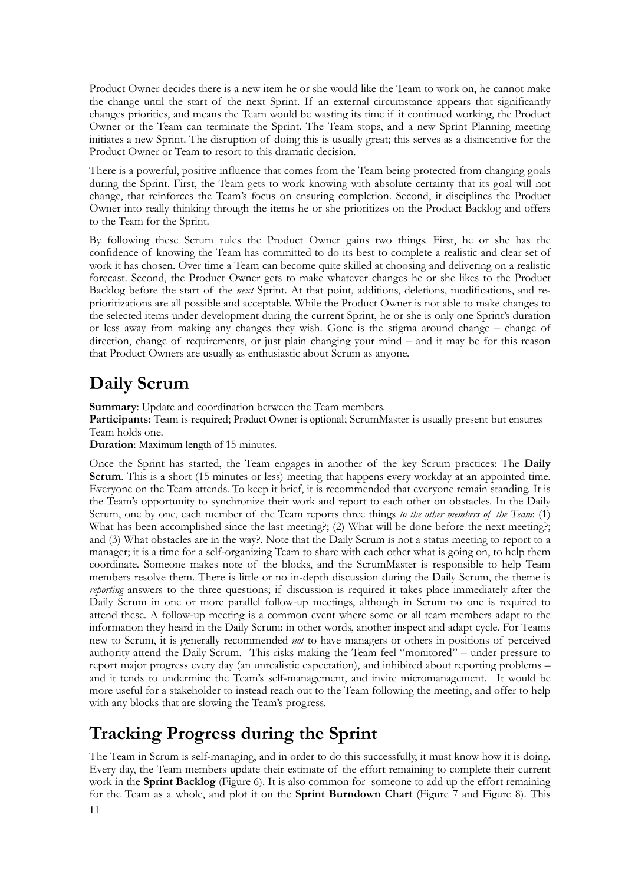Product Owner decides there is a new item he or she would like the Team to work on, he cannot make the change until the start of the next Sprint. If an external circumstance appears that significantly changes priorities, and means the Team would be wasting its time if it continued working, the Product Owner or the Team can terminate the Sprint. The Team stops, and a new Sprint Planning meeting initiates a new Sprint. The disruption of doing this is usually great; this serves as a disincentive for the Product Owner or Team to resort to this dramatic decision.

There is a powerful, positive influence that comes from the Team being protected from changing goals during the Sprint. First, the Team gets to work knowing with absolute certainty that its goal will not change, that reinforces the Team's focus on ensuring completion. Second, it disciplines the Product Owner into really thinking through the items he or she prioritizes on the Product Backlog and offers to the Team for the Sprint.

By following these Scrum rules the Product Owner gains two things. First, he or she has the confidence of knowing the Team has committed to do its best to complete a realistic and clear set of work it has chosen. Over time a Team can become quite skilled at choosing and delivering on a realistic forecast. Second, the Product Owner gets to make whatever changes he or she likes to the Product Backlog before the start of the *next* Sprint. At that point, additions, deletions, modifications, and reprioritizations are all possible and acceptable. While the Product Owner is not able to make changes to the selected items under development during the current Sprint, he or she is only one Sprint's duration or less away from making any changes they wish. Gone is the stigma around change – change of direction, change of requirements, or just plain changing your mind – and it may be for this reason that Product Owners are usually as enthusiastic about Scrum as anyone.

## **Daily Scrum**

**Summary**: Update and coordination between the Team members.

**Participants**: Team is required; Product Owner is optional; ScrumMaster is usually present but ensures Team holds one.

**Duration**: Maximum length of 15 minutes.

Once the Sprint has started, the Team engages in another of the key Scrum practices: The **Daily Scrum**. This is a short (15 minutes or less) meeting that happens every workday at an appointed time. Everyone on the Team attends. To keep it brief, it is recommended that everyone remain standing. It is the Team's opportunity to synchronize their work and report to each other on obstacles. In the Daily Scrum, one by one, each member of the Team reports three things *to the other members of the Team*: (1) What has been accomplished since the last meeting?; (2) What will be done before the next meeting?; and (3) What obstacles are in the way?. Note that the Daily Scrum is not a status meeting to report to a manager; it is a time for a self-organizing Team to share with each other what is going on, to help them coordinate. Someone makes note of the blocks, and the ScrumMaster is responsible to help Team members resolve them. There is little or no in-depth discussion during the Daily Scrum, the theme is *reporting* answers to the three questions; if discussion is required it takes place immediately after the Daily Scrum in one or more parallel follow-up meetings, although in Scrum no one is required to attend these. A follow-up meeting is a common event where some or all team members adapt to the information they heard in the Daily Scrum: in other words, another inspect and adapt cycle. For Teams new to Scrum, it is generally recommended *not* to have managers or others in positions of perceived authority attend the Daily Scrum. This risks making the Team feel "monitored" – under pressure to report major progress every day (an unrealistic expectation), and inhibited about reporting problems – and it tends to undermine the Team's self-management, and invite micromanagement. It would be more useful for a stakeholder to instead reach out to the Team following the meeting, and offer to help with any blocks that are slowing the Team's progress.

## **Tracking Progress during the Sprint**

The Team in Scrum is self-managing, and in order to do this successfully, it must know how it is doing. Every day, the Team members update their estimate of the effort remaining to complete their current work in the **Sprint Backlog** [\(Figure 6\)](#page-11-0). It is also common for someone to add up the effort remaining for the Team as a whole, and plot it on the **Sprint Burndown Chart** ([Figure 7](#page-12-0) and Figure 8). This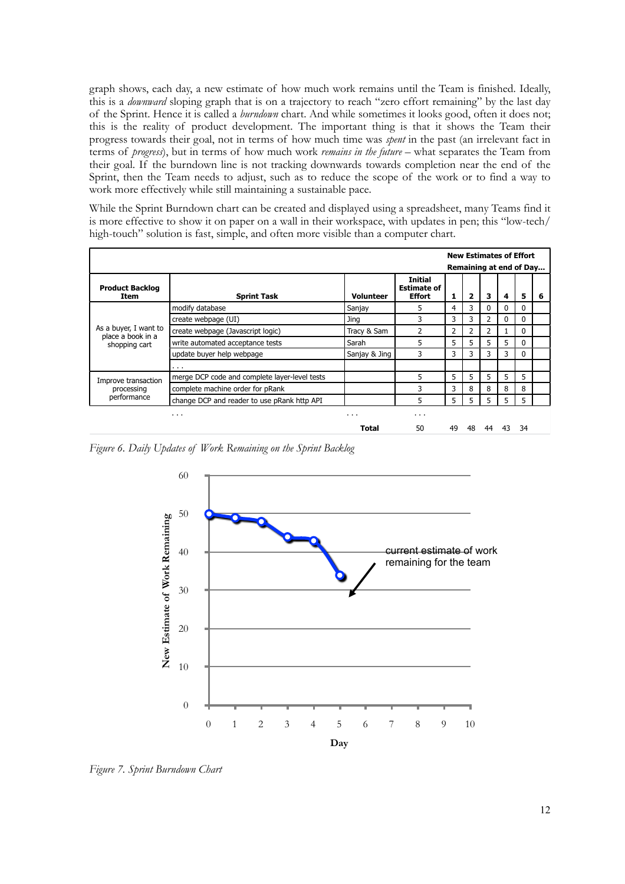graph shows, each day, a new estimate of how much work remains until the Team is finished. Ideally, this is a *downward* sloping graph that is on a trajectory to reach "zero effort remaining" by the last day of the Sprint. Hence it is called a *burndown* chart. And while sometimes it looks good, often it does not; this is the reality of product development. The important thing is that it shows the Team their progress towards their goal, not in terms of how much time was *spent* in the past (an irrelevant fact in terms of *progress*), but in terms of how much work *remains in the future* – what separates the Team from their goal. If the burndown line is not tracking downwards towards completion near the end of the Sprint, then the Team needs to adjust, such as to reduce the scope of the work or to find a way to work more effectively while still maintaining a sustainable pace.

While the Sprint Burndown chart can be created and displayed using a spreadsheet, many Teams find it is more effective to show it on paper on a wall in their workspace, with updates in pen; this "low-tech/ high-touch" solution is fast, simple, and often more visible than a computer chart.

|                                |                                                                                            |                  |                                                       |    |              |   | <b>New Estimates of Effort</b><br>Remaining at end of Day   |   |   |  |  |  |  |
|--------------------------------|--------------------------------------------------------------------------------------------|------------------|-------------------------------------------------------|----|--------------|---|-------------------------------------------------------------|---|---|--|--|--|--|
| <b>Product Backlog</b><br>Item | <b>Sprint Task</b>                                                                         | <b>Volunteer</b> | <b>Initial</b><br><b>Estimate of</b><br><b>Effort</b> | 1  | $\mathbf{z}$ | 3 | 4                                                           | 5 | 6 |  |  |  |  |
|                                | modify database                                                                            | Sanjay           | 5                                                     | 4  | 3            | 0 | 0                                                           | 0 |   |  |  |  |  |
|                                | create webpage (UI)                                                                        | Jing             | 3                                                     | 3  | 3            |   | 0                                                           | 0 |   |  |  |  |  |
| As a buyer, I want to          | create webpage (Javascript logic)                                                          | Tracy & Sam      | 2                                                     | 2  | 2            | 2 |                                                             | 0 |   |  |  |  |  |
|                                | write automated acceptance tests                                                           | Sarah            | 5                                                     | 5  | 5.           | 5 | 5                                                           | 0 |   |  |  |  |  |
|                                | place a book in a<br>shopping cart<br>3<br>update buyer help webpage<br>3<br>Sanjay & Jing |                  | 3                                                     | 3  | 3            | 0 |                                                             |   |   |  |  |  |  |
|                                | $\cdots$                                                                                   |                  |                                                       |    |              |   | 5<br>5<br>5<br>8<br>8<br>8<br>5<br>5<br>5<br>34<br>43<br>44 |   |   |  |  |  |  |
| Improve transaction            | merge DCP code and complete layer-level tests                                              |                  | 5                                                     | 5  | 5            |   |                                                             |   |   |  |  |  |  |
| processing                     | complete machine order for pRank                                                           |                  | 3                                                     | 3  | 8            |   |                                                             |   |   |  |  |  |  |
| performance                    | change DCP and reader to use pRank http API                                                |                  | 5                                                     | 5  | 5.           |   |                                                             |   |   |  |  |  |  |
|                                | $\cdots$                                                                                   | .                | $\cdots$                                              |    |              |   |                                                             |   |   |  |  |  |  |
|                                |                                                                                            | Total            | 50                                                    | 49 | 48           |   |                                                             |   |   |  |  |  |  |

<span id="page-11-0"></span>*Figure 6. Daily Updates of Work Remaining on the Sprint Backlog*



*Figure 7. Sprint Burndown Chart*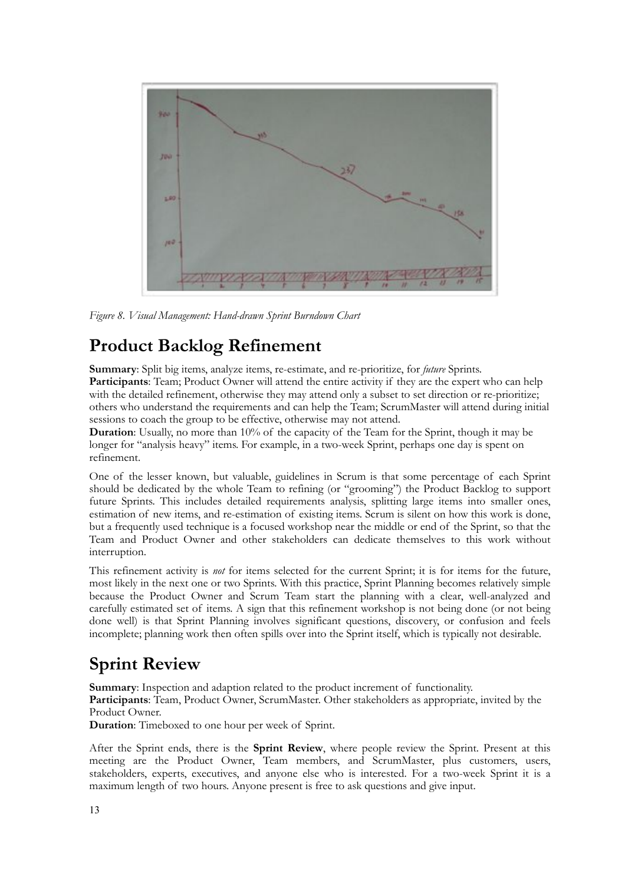

<span id="page-12-0"></span>*Figure 8. Visual Management: Hand-drawn Sprint Burndown Chart*

## **Product Backlog Refinement**

**Summary**: Split big items, analyze items, re-estimate, and re-prioritize, for *future* Sprints. **Participants**: Team; Product Owner will attend the entire activity if they are the expert who can help with the detailed refinement, otherwise they may attend only a subset to set direction or re-prioritize; others who understand the requirements and can help the Team; ScrumMaster will attend during initial sessions to coach the group to be effective, otherwise may not attend.

**Duration**: Usually, no more than 10% of the capacity of the Team for the Sprint, though it may be longer for "analysis heavy" items. For example, in a two-week Sprint, perhaps one day is spent on refinement.

One of the lesser known, but valuable, guidelines in Scrum is that some percentage of each Sprint should be dedicated by the whole Team to refining (or "grooming") the Product Backlog to support future Sprints. This includes detailed requirements analysis, splitting large items into smaller ones, estimation of new items, and re-estimation of existing items. Scrum is silent on how this work is done, but a frequently used technique is a focused workshop near the middle or end of the Sprint, so that the Team and Product Owner and other stakeholders can dedicate themselves to this work without interruption.

This refinement activity is *not* for items selected for the current Sprint; it is for items for the future, most likely in the next one or two Sprints. With this practice, Sprint Planning becomes relatively simple because the Product Owner and Scrum Team start the planning with a clear, well-analyzed and carefully estimated set of items. A sign that this refinement workshop is not being done (or not being done well) is that Sprint Planning involves significant questions, discovery, or confusion and feels incomplete; planning work then often spills over into the Sprint itself, which is typically not desirable.

## **Sprint Review**

**Summary**: Inspection and adaption related to the product increment of functionality. **Participants**: Team, Product Owner, ScrumMaster. Other stakeholders as appropriate, invited by the Product Owner.

**Duration**: Timeboxed to one hour per week of Sprint.

After the Sprint ends, there is the **Sprint Review**, where people review the Sprint. Present at this meeting are the Product Owner, Team members, and ScrumMaster, plus customers, users, stakeholders, experts, executives, and anyone else who is interested. For a two-week Sprint it is a maximum length of two hours. Anyone present is free to ask questions and give input.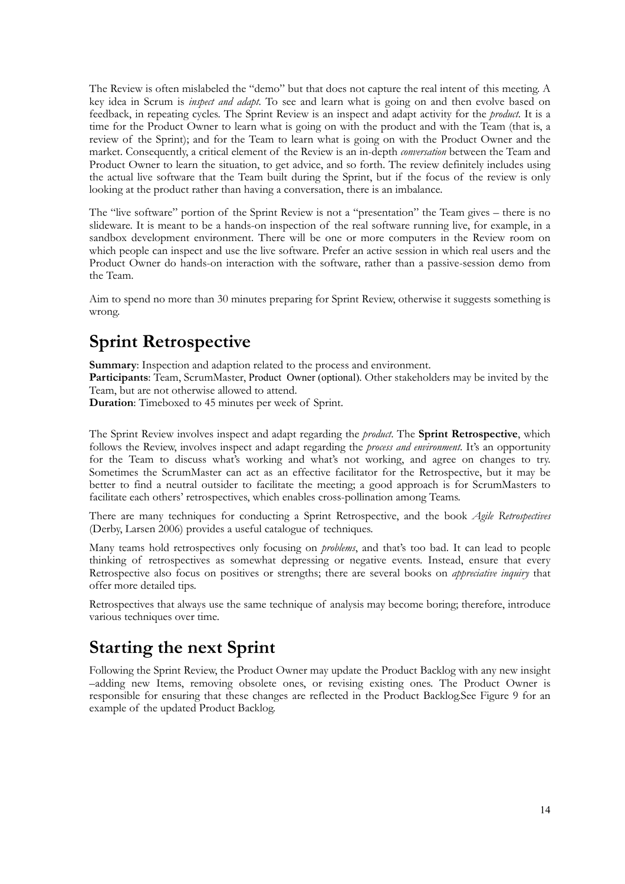The Review is often mislabeled the "demo" but that does not capture the real intent of this meeting. A key idea in Scrum is *inspect and adapt*. To see and learn what is going on and then evolve based on feedback, in repeating cycles. The Sprint Review is an inspect and adapt activity for the *product*. It is a time for the Product Owner to learn what is going on with the product and with the Team (that is, a review of the Sprint); and for the Team to learn what is going on with the Product Owner and the market. Consequently, a critical element of the Review is an in-depth *conversation* between the Team and Product Owner to learn the situation, to get advice, and so forth. The review definitely includes using the actual live software that the Team built during the Sprint, but if the focus of the review is only looking at the product rather than having a conversation, there is an imbalance.

The "live software" portion of the Sprint Review is not a "presentation" the Team gives – there is no slideware. It is meant to be a hands-on inspection of the real software running live, for example, in a sandbox development environment. There will be one or more computers in the Review room on which people can inspect and use the live software. Prefer an active session in which real users and the Product Owner do hands-on interaction with the software, rather than a passive-session demo from the Team.

Aim to spend no more than 30 minutes preparing for Sprint Review, otherwise it suggests something is wrong.

### **Sprint Retrospective**

**Summary**: Inspection and adaption related to the process and environment.

**Participants**: Team, ScrumMaster, Product Owner (optional). Other stakeholders may be invited by the Team, but are not otherwise allowed to attend.

**Duration**: Timeboxed to 45 minutes per week of Sprint.

The Sprint Review involves inspect and adapt regarding the *product*. The **Sprint Retrospective**, which follows the Review, involves inspect and adapt regarding the *process and environment*. It's an opportunity for the Team to discuss what's working and what's not working, and agree on changes to try. Sometimes the ScrumMaster can act as an effective facilitator for the Retrospective, but it may be better to find a neutral outsider to facilitate the meeting; a good approach is for ScrumMasters to facilitate each others' retrospectives, which enables cross-pollination among Teams.

There are many techniques for conducting a Sprint Retrospective, and the book *Agile Retrospectives*  (Derby, Larsen 2006) provides a useful catalogue of techniques.

Many teams hold retrospectives only focusing on *problems*, and that's too bad. It can lead to people thinking of retrospectives as somewhat depressing or negative events. Instead, ensure that every Retrospective also focus on positives or strengths; there are several books on *appreciative inquiry* that offer more detailed tips.

Retrospectives that always use the same technique of analysis may become boring; therefore, introduce various techniques over time.

### **Starting the next Sprint**

Following the Sprint Review, the Product Owner may update the Product Backlog with any new insight –adding new Items, removing obsolete ones, or revising existing ones. The Product Owner is responsible for ensuring that these changes are reflected in the Product Backlog.See [Figure 9](#page-14-0) for an example of the updated Product Backlog.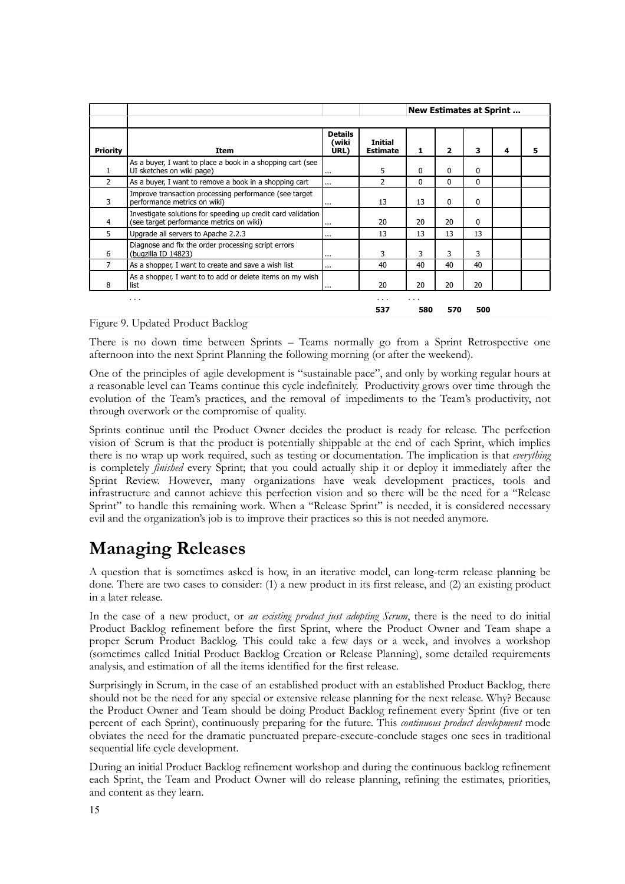|                 |                                                                                                          |                                 | <b>New Estimates at Sprint</b>    |                 |                |     |   |   |
|-----------------|----------------------------------------------------------------------------------------------------------|---------------------------------|-----------------------------------|-----------------|----------------|-----|---|---|
| <b>Priority</b> | Item                                                                                                     | <b>Details</b><br>(wiki<br>URL) | <b>Initial</b><br><b>Estimate</b> | 1               | $\overline{2}$ | 3   | 4 | 5 |
| 1               | As a buyer, I want to place a book in a shopping cart (see<br>UI sketches on wiki page)                  | $\cdots$                        | 5                                 | $\mathbf{0}$    | 0              | 0   |   |   |
| $\mathcal{P}$   | As a buyer, I want to remove a book in a shopping cart                                                   | $\cdots$                        | $\mathcal{P}$                     | $\Omega$        | 0              | 0   |   |   |
| 3               | Improve transaction processing performance (see target)<br>performance metrics on wiki)                  | $\cdots$                        | 13                                | 13              | 0              | 0   |   |   |
| 4               | Investigate solutions for speeding up credit card validation<br>(see target performance metrics on wiki) | $\cdots$                        | 20                                | 20              | 20             | 0   |   |   |
| 5               | Upgrade all servers to Apache 2.2.3                                                                      | $\cdots$                        | 13                                | 13              | 13             | 13  |   |   |
| 6               | Diagnose and fix the order processing script errors<br>(bugzilla ID 14823)                               | $\cdots$                        | 3                                 | 3               | 3              | 3   |   |   |
| 7               | As a shopper, I want to create and save a wish list                                                      | $\cdots$                        | 40                                | 40              | 40             | 40  |   |   |
| 8               | As a shopper, I want to to add or delete items on my wish<br>list                                        | $\cdots$                        | 20                                | 20              | 20             | 20  |   |   |
|                 | $\cdots$                                                                                                 |                                 | .<br>537                          | $\cdots$<br>580 | 570            | 500 |   |   |

<span id="page-14-0"></span>Figure 9. Updated Product Backlog

There is no down time between Sprints – Teams normally go from a Sprint Retrospective one afternoon into the next Sprint Planning the following morning (or after the weekend).

One of the principles of agile development is "sustainable pace", and only by working regular hours at a reasonable level can Teams continue this cycle indefinitely. Productivity grows over time through the evolution of the Team's practices, and the removal of impediments to the Team's productivity, not through overwork or the compromise of quality.

Sprints continue until the Product Owner decides the product is ready for release. The perfection vision of Scrum is that the product is potentially shippable at the end of each Sprint, which implies there is no wrap up work required, such as testing or documentation. The implication is that *everything* is completely *finished* every Sprint; that you could actually ship it or deploy it immediately after the Sprint Review. However, many organizations have weak development practices, tools and infrastructure and cannot achieve this perfection vision and so there will be the need for a "Release Sprint" to handle this remaining work. When a "Release Sprint" is needed, it is considered necessary evil and the organization's job is to improve their practices so this is not needed anymore.

## **Managing Releases**

A question that is sometimes asked is how, in an iterative model, can long-term release planning be done. There are two cases to consider: (1) a new product in its first release, and (2) an existing product in a later release.

In the case of a new product, or *an existing product just adopting Scrum*, there is the need to do initial Product Backlog refinement before the first Sprint, where the Product Owner and Team shape a proper Scrum Product Backlog. This could take a few days or a week, and involves a workshop (sometimes called Initial Product Backlog Creation or Release Planning), some detailed requirements analysis, and estimation of all the items identified for the first release.

Surprisingly in Scrum, in the case of an established product with an established Product Backlog, there should not be the need for any special or extensive release planning for the next release. Why? Because the Product Owner and Team should be doing Product Backlog refinement every Sprint (five or ten percent of each Sprint), continuously preparing for the future. This *continuous product development* mode obviates the need for the dramatic punctuated prepare-execute-conclude stages one sees in traditional sequential life cycle development.

During an initial Product Backlog refinement workshop and during the continuous backlog refinement each Sprint, the Team and Product Owner will do release planning, refining the estimates, priorities, and content as they learn.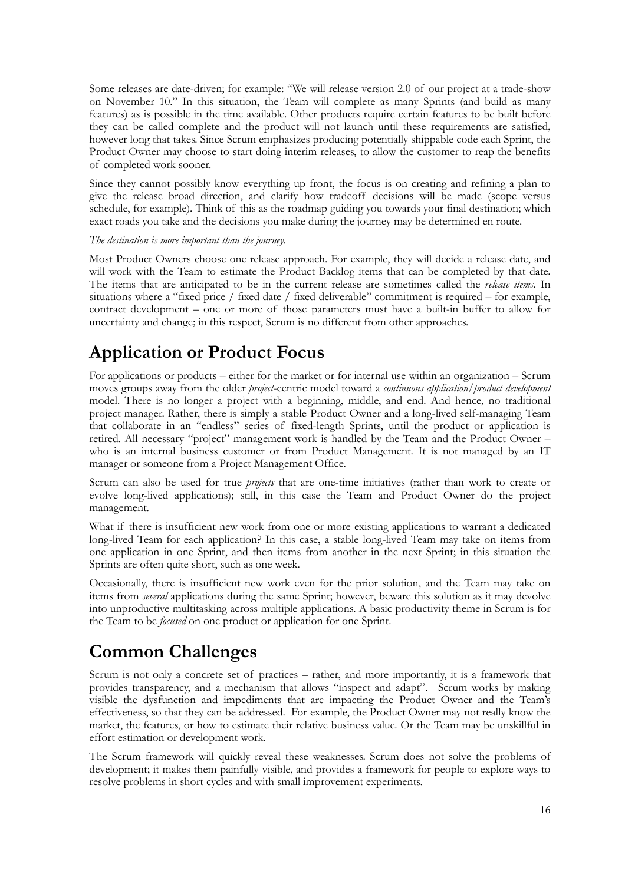Some releases are date-driven; for example: "We will release version 2.0 of our project at a trade-show on November 10." In this situation, the Team will complete as many Sprints (and build as many features) as is possible in the time available. Other products require certain features to be built before they can be called complete and the product will not launch until these requirements are satisfied, however long that takes. Since Scrum emphasizes producing potentially shippable code each Sprint, the Product Owner may choose to start doing interim releases, to allow the customer to reap the benefits of completed work sooner.

Since they cannot possibly know everything up front, the focus is on creating and refining a plan to give the release broad direction, and clarify how tradeoff decisions will be made (scope versus schedule, for example). Think of this as the roadmap guiding you towards your final destination; which exact roads you take and the decisions you make during the journey may be determined en route.

#### *The destination is more important than the journey.*

Most Product Owners choose one release approach. For example, they will decide a release date, and will work with the Team to estimate the Product Backlog items that can be completed by that date. The items that are anticipated to be in the current release are sometimes called the *release items*. In situations where a "fixed price / fixed date / fixed deliverable" commitment is required – for example, contract development – one or more of those parameters must have a built-in buffer to allow for uncertainty and change; in this respect, Scrum is no different from other approaches.

### **Application or Product Focus**

For applications or products – either for the market or for internal use within an organization – Scrum moves groups away from the older *project*-centric model toward a *continuous application/product development* model. There is no longer a project with a beginning, middle, and end. And hence, no traditional project manager. Rather, there is simply a stable Product Owner and a long-lived self-managing Team that collaborate in an "endless" series of fixed-length Sprints, until the product or application is retired. All necessary "project" management work is handled by the Team and the Product Owner – who is an internal business customer or from Product Management. It is not managed by an IT manager or someone from a Project Management Office.

Scrum can also be used for true *projects* that are one-time initiatives (rather than work to create or evolve long-lived applications); still, in this case the Team and Product Owner do the project management.

What if there is insufficient new work from one or more existing applications to warrant a dedicated long-lived Team for each application? In this case, a stable long-lived Team may take on items from one application in one Sprint, and then items from another in the next Sprint; in this situation the Sprints are often quite short, such as one week.

Occasionally, there is insufficient new work even for the prior solution, and the Team may take on items from *several* applications during the same Sprint; however, beware this solution as it may devolve into unproductive multitasking across multiple applications. A basic productivity theme in Scrum is for the Team to be *focused* on one product or application for one Sprint.

### **Common Challenges**

Scrum is not only a concrete set of practices – rather, and more importantly, it is a framework that provides transparency, and a mechanism that allows "inspect and adapt". Scrum works by making visible the dysfunction and impediments that are impacting the Product Owner and the Team's effectiveness, so that they can be addressed. For example, the Product Owner may not really know the market, the features, or how to estimate their relative business value. Or the Team may be unskillful in effort estimation or development work.

The Scrum framework will quickly reveal these weaknesses. Scrum does not solve the problems of development; it makes them painfully visible, and provides a framework for people to explore ways to resolve problems in short cycles and with small improvement experiments.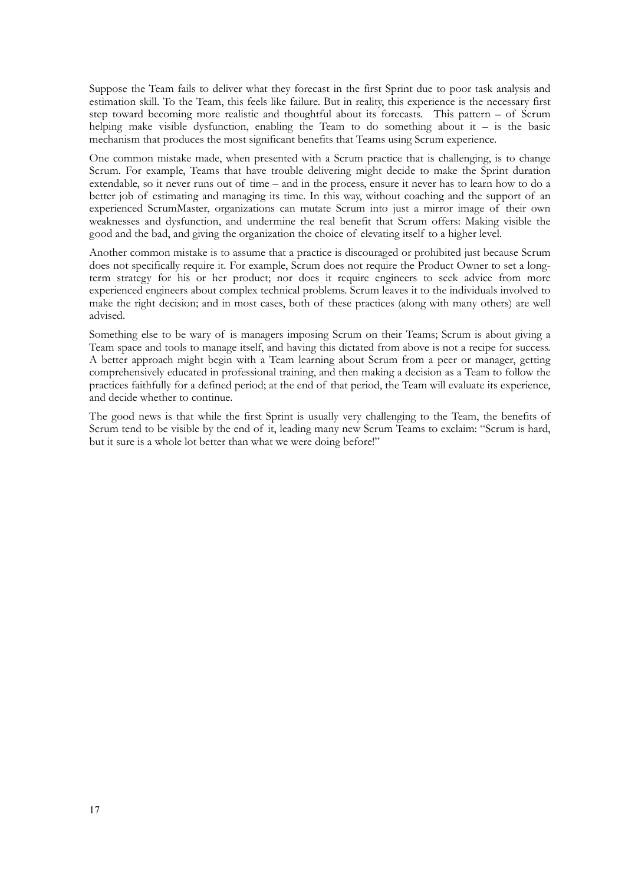Suppose the Team fails to deliver what they forecast in the first Sprint due to poor task analysis and estimation skill. To the Team, this feels like failure. But in reality, this experience is the necessary first step toward becoming more realistic and thoughtful about its forecasts. This pattern – of Scrum helping make visible dysfunction, enabling the Team to do something about it – is the basic mechanism that produces the most significant benefits that Teams using Scrum experience.

One common mistake made, when presented with a Scrum practice that is challenging, is to change Scrum. For example, Teams that have trouble delivering might decide to make the Sprint duration extendable, so it never runs out of time – and in the process, ensure it never has to learn how to do a better job of estimating and managing its time. In this way, without coaching and the support of an experienced ScrumMaster, organizations can mutate Scrum into just a mirror image of their own weaknesses and dysfunction, and undermine the real benefit that Scrum offers: Making visible the good and the bad, and giving the organization the choice of elevating itself to a higher level.

Another common mistake is to assume that a practice is discouraged or prohibited just because Scrum does not specifically require it. For example, Scrum does not require the Product Owner to set a longterm strategy for his or her product; nor does it require engineers to seek advice from more experienced engineers about complex technical problems. Scrum leaves it to the individuals involved to make the right decision; and in most cases, both of these practices (along with many others) are well advised.

Something else to be wary of is managers imposing Scrum on their Teams; Scrum is about giving a Team space and tools to manage itself, and having this dictated from above is not a recipe for success. A better approach might begin with a Team learning about Scrum from a peer or manager, getting comprehensively educated in professional training, and then making a decision as a Team to follow the practices faithfully for a defined period; at the end of that period, the Team will evaluate its experience, and decide whether to continue.

The good news is that while the first Sprint is usually very challenging to the Team, the benefits of Scrum tend to be visible by the end of it, leading many new Scrum Teams to exclaim: "Scrum is hard, but it sure is a whole lot better than what we were doing before!"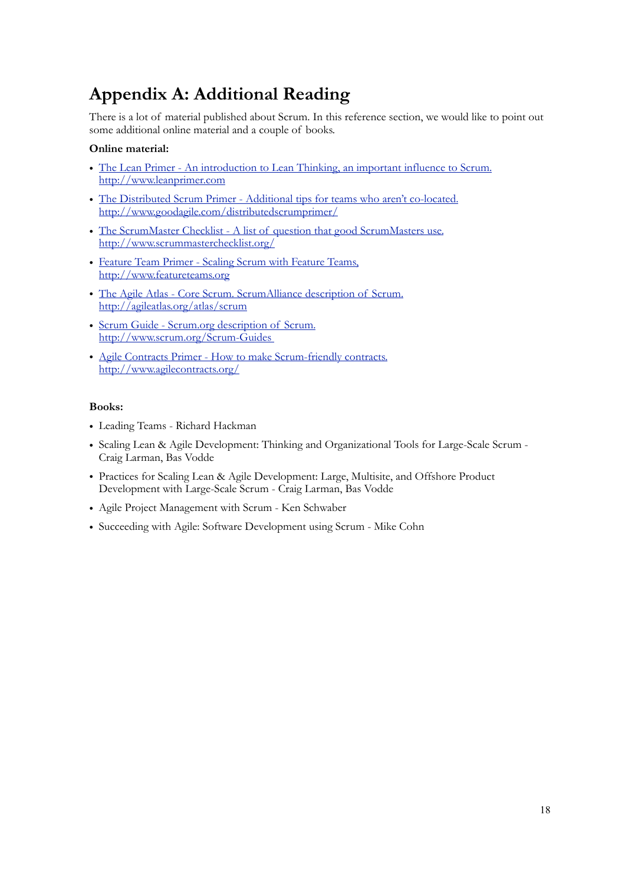# **Appendix A: Additional Reading**

There is a lot of material published about Scrum. In this reference section, we would like to point out some additional online material and a couple of books.

#### **Online material:**

- [The Lean Primer An introduction to Lean Thinking, an important influence to Scrum.](http://www.leanprimer.com) <http://www.leanprimer.com>
- [The Distributed Scrum Primer Additional tips for teams who aren't co-located.](http://www.goodagile.com/distributedscrumprimer/) <http://www.goodagile.com/distributedscrumprimer/>
- [The ScrumMaster Checklist A list of question that good ScrumMasters use.](http://www.scrummasterchecklist.org/) <http://www.scrummasterchecklist.org/>
- [Feature Team Primer Scaling Scrum with Feature Teams,](http://www.featureteams.org) <http://www.featureteams.org>
- [The Agile Atlas Core Scrum. ScrumAlliance description of Scrum.](http://agileatlas.org/atlas/scrum) <http://agileatlas.org/atlas/scrum>
- [Scrum Guide Scrum.org description of Scrum.](http://www.scrum.org/Scrum-Guides) <http://www.scrum.org/Scrum-Guides>
- [Agile Contracts Primer How to make Scrum-friendly contracts.](http://www.agilecontracts.org/) <http://www.agilecontracts.org/>

#### **Books:**

- Leading Teams Richard Hackman
- Scaling Lean & Agile Development: Thinking and Organizational Tools for Large-Scale Scrum Craig Larman, Bas Vodde
- Practices for Scaling Lean & Agile Development: Large, Multisite, and Offshore Product Development with Large-Scale Scrum - Craig Larman, Bas Vodde
- Agile Project Management with Scrum Ken Schwaber
- Succeeding with Agile: Software Development using Scrum Mike Cohn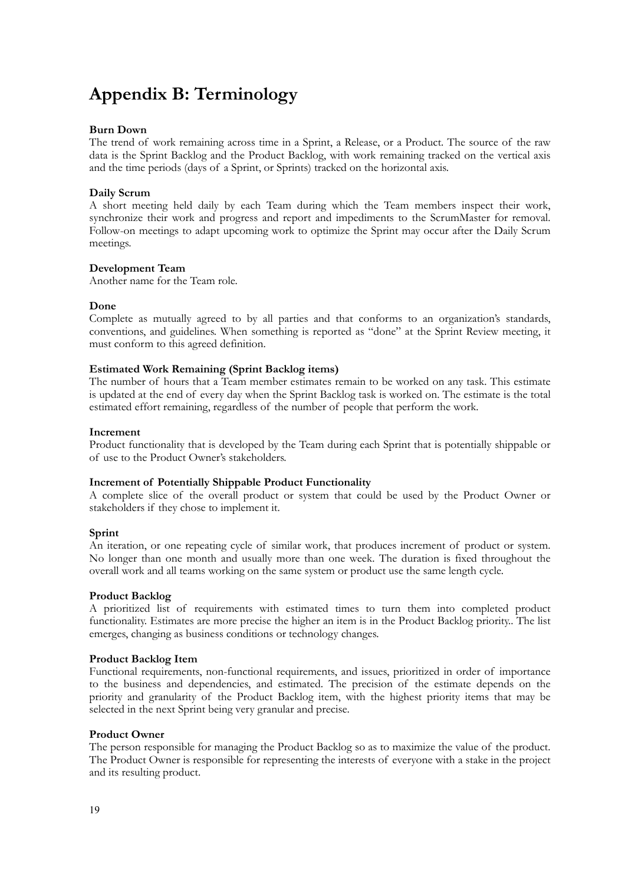## **Appendix B: Terminology**

#### **Burn Down**

The trend of work remaining across time in a Sprint, a Release, or a Product. The source of the raw data is the Sprint Backlog and the Product Backlog, with work remaining tracked on the vertical axis and the time periods (days of a Sprint, or Sprints) tracked on the horizontal axis.

#### **Daily Scrum**

A short meeting held daily by each Team during which the Team members inspect their work, synchronize their work and progress and report and impediments to the ScrumMaster for removal. Follow-on meetings to adapt upcoming work to optimize the Sprint may occur after the Daily Scrum meetings.

#### **Development Team**

Another name for the Team role.

#### **Done**

Complete as mutually agreed to by all parties and that conforms to an organization's standards, conventions, and guidelines. When something is reported as "done" at the Sprint Review meeting, it must conform to this agreed definition.

#### **Estimated Work Remaining (Sprint Backlog items)**

The number of hours that a Team member estimates remain to be worked on any task. This estimate is updated at the end of every day when the Sprint Backlog task is worked on. The estimate is the total estimated effort remaining, regardless of the number of people that perform the work.

#### **Increment**

Product functionality that is developed by the Team during each Sprint that is potentially shippable or of use to the Product Owner's stakeholders.

#### **Increment of Potentially Shippable Product Functionality**

A complete slice of the overall product or system that could be used by the Product Owner or stakeholders if they chose to implement it.

#### **Sprint**

An iteration, or one repeating cycle of similar work, that produces increment of product or system. No longer than one month and usually more than one week. The duration is fixed throughout the overall work and all teams working on the same system or product use the same length cycle.

#### **Product Backlog**

A prioritized list of requirements with estimated times to turn them into completed product functionality. Estimates are more precise the higher an item is in the Product Backlog priority.. The list emerges, changing as business conditions or technology changes.

#### **Product Backlog Item**

Functional requirements, non-functional requirements, and issues, prioritized in order of importance to the business and dependencies, and estimated. The precision of the estimate depends on the priority and granularity of the Product Backlog item, with the highest priority items that may be selected in the next Sprint being very granular and precise.

#### **Product Owner**

The person responsible for managing the Product Backlog so as to maximize the value of the product. The Product Owner is responsible for representing the interests of everyone with a stake in the project and its resulting product.